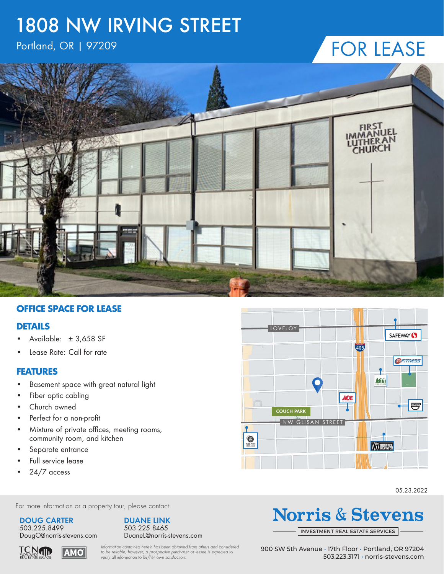## 1808 NW IRVING STREET

### Portland, OR | 97209

### FOR LEASE



#### **OFFICE SPACE FOR LEASE**

#### **DETAILS**

- Available: ± 3,658 SF
- Lease Rate: Call for rate

#### **FEATURES**

- Basement space with great natural light
- Fiber optic cabling
- Church owned
- Perfect for a non-profit
- Mixture of private offices, meeting rooms, community room, and kitchen
- Separate entrance
- Full service lease
- 24/7 access



05.23.2022

For more information or a property tour, please contact:

#### **DOUG CARTER**

503.225.8499 DougC@norris-stevens.com



## **Norris & Stevens**

INVESTMENT [REAL ESTATE SERVICES](http://www.norris-stevens.com)

**TCN**<br>WORLDWIDE<br>REAL ESTATE SERVICES ΑΜΟΌ

*Information contained herein has been obtained from others and considered to be reliable; however, a prospective purchaser or lessee is expected to verify all information to his/her own satisfaction.*

900 SW 5th Avenue • 17th Floor • Portland, OR 97204 503.223.3171 • [norris-stevens.com](http://www.norris-stevens.com)